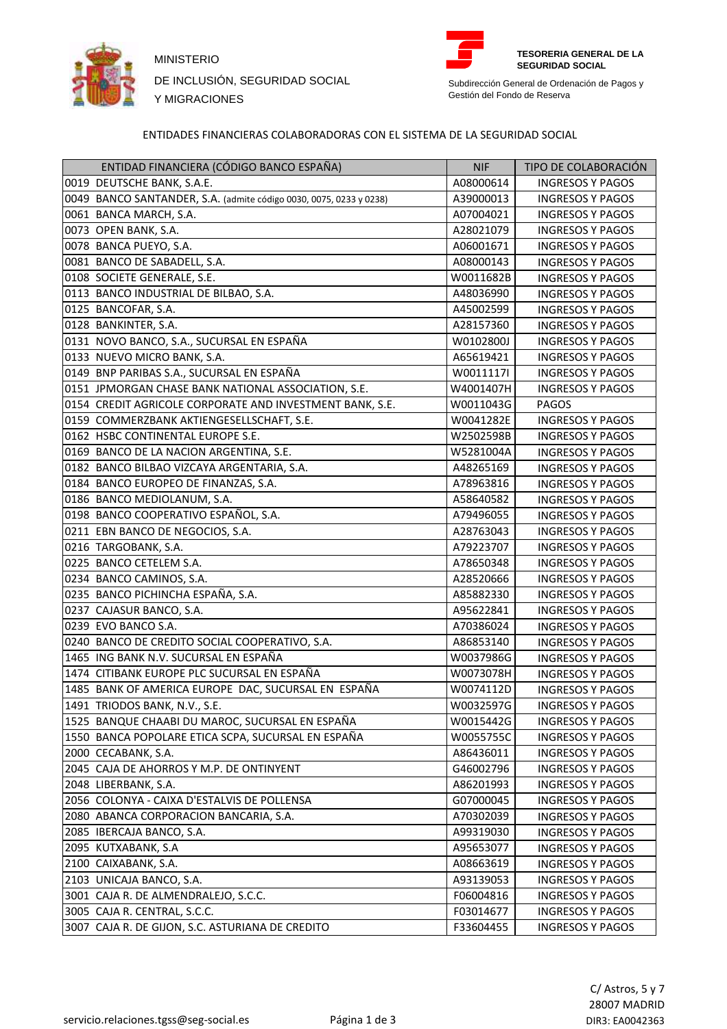

MINISTERIO **TESORERIA GENERAL DE LA**  DE INCLUSIÓN, SEGURIDAD SOCIAL Y MIGRACIONES



**SEGURIDAD SOCIAL**

Subdirección General de Ordenación de Pagos y Gestión del Fondo de Reserva

## ENTIDADES FINANCIERAS COLABORADORAS CON EL SISTEMA DE LA SEGURIDAD SOCIAL

| ENTIDAD FINANCIERA (CÓDIGO BANCO ESPAÑA)                           | <b>NIF</b> | TIPO DE COLABORACIÓN    |
|--------------------------------------------------------------------|------------|-------------------------|
| 0019 DEUTSCHE BANK, S.A.E.                                         | A08000614  | <b>INGRESOS Y PAGOS</b> |
| 0049 BANCO SANTANDER, S.A. (admite código 0030, 0075, 0233 y 0238) | A39000013  | <b>INGRESOS Y PAGOS</b> |
| 0061 BANCA MARCH, S.A.                                             | A07004021  | <b>INGRESOS Y PAGOS</b> |
| 0073 OPEN BANK, S.A.                                               | A28021079  | <b>INGRESOS Y PAGOS</b> |
| 0078 BANCA PUEYO, S.A.                                             | A06001671  | <b>INGRESOS Y PAGOS</b> |
| 0081 BANCO DE SABADELL, S.A.                                       | A08000143  | <b>INGRESOS Y PAGOS</b> |
| 0108 SOCIETE GENERALE, S.E.                                        | W0011682B  | <b>INGRESOS Y PAGOS</b> |
| 0113 BANCO INDUSTRIAL DE BILBAO, S.A.                              | A48036990  | <b>INGRESOS Y PAGOS</b> |
| 0125 BANCOFAR, S.A.                                                | A45002599  | <b>INGRESOS Y PAGOS</b> |
| 0128 BANKINTER, S.A.                                               | A28157360  | <b>INGRESOS Y PAGOS</b> |
| 0131 NOVO BANCO, S.A., SUCURSAL EN ESPAÑA                          | W0102800J  | <b>INGRESOS Y PAGOS</b> |
| 0133 NUEVO MICRO BANK, S.A.                                        | A65619421  | <b>INGRESOS Y PAGOS</b> |
| 0149 BNP PARIBAS S.A., SUCURSAL EN ESPAÑA                          | W0011117I  | <b>INGRESOS Y PAGOS</b> |
| 0151 JPMORGAN CHASE BANK NATIONAL ASSOCIATION, S.E.                | W4001407H  | <b>INGRESOS Y PAGOS</b> |
| 0154 CREDIT AGRICOLE CORPORATE AND INVESTMENT BANK, S.E.           | W0011043G  | PAGOS                   |
| 0159 COMMERZBANK AKTIENGESELLSCHAFT, S.E.                          | W0041282E  | <b>INGRESOS Y PAGOS</b> |
| 0162 HSBC CONTINENTAL EUROPE S.E.                                  | W2502598B  | <b>INGRESOS Y PAGOS</b> |
| 0169 BANCO DE LA NACION ARGENTINA, S.E.                            | W5281004A  | <b>INGRESOS Y PAGOS</b> |
| 0182 BANCO BILBAO VIZCAYA ARGENTARIA, S.A.                         | A48265169  | <b>INGRESOS Y PAGOS</b> |
| 0184 BANCO EUROPEO DE FINANZAS, S.A.                               | A78963816  | <b>INGRESOS Y PAGOS</b> |
| 0186 BANCO MEDIOLANUM, S.A.                                        | A58640582  | <b>INGRESOS Y PAGOS</b> |
| 0198 BANCO COOPERATIVO ESPAÑOL, S.A.                               | A79496055  | <b>INGRESOS Y PAGOS</b> |
| 0211 EBN BANCO DE NEGOCIOS, S.A.                                   | A28763043  | <b>INGRESOS Y PAGOS</b> |
| 0216 TARGOBANK, S.A.                                               | A79223707  | <b>INGRESOS Y PAGOS</b> |
| 0225 BANCO CETELEM S.A.                                            | A78650348  | <b>INGRESOS Y PAGOS</b> |
| 0234 BANCO CAMINOS, S.A.                                           | A28520666  | <b>INGRESOS Y PAGOS</b> |
| 0235 BANCO PICHINCHA ESPAÑA, S.A.                                  | A85882330  | <b>INGRESOS Y PAGOS</b> |
| 0237 CAJASUR BANCO, S.A.                                           | A95622841  | <b>INGRESOS Y PAGOS</b> |
| 0239 EVO BANCO S.A.                                                | A70386024  | <b>INGRESOS Y PAGOS</b> |
| 0240 BANCO DE CREDITO SOCIAL COOPERATIVO, S.A.                     | A86853140  | <b>INGRESOS Y PAGOS</b> |
| 1465 ING BANK N.V. SUCURSAL EN ESPAÑA                              | W0037986G  | <b>INGRESOS Y PAGOS</b> |
| 1474 CITIBANK EUROPE PLC SUCURSAL EN ESPAÑA                        | W0073078H  | <b>INGRESOS Y PAGOS</b> |
| 1485 BANK OF AMERICA EUROPE DAC, SUCURSAL EN ESPAÑA                | W0074112D  | <b>INGRESOS Y PAGOS</b> |
| 1491 TRIODOS BANK, N.V., S.E.                                      | W0032597G  | <b>INGRESOS Y PAGOS</b> |
| 1525 BANQUE CHAABI DU MAROC, SUCURSAL EN ESPAÑA                    | W0015442G  | <b>INGRESOS Y PAGOS</b> |
| 1550 BANCA POPOLARE ETICA SCPA, SUCURSAL EN ESPAÑA                 | W0055755C  | <b>INGRESOS Y PAGOS</b> |
| 2000 CECABANK, S.A.                                                | A86436011  | <b>INGRESOS Y PAGOS</b> |
| 2045 CAJA DE AHORROS Y M.P. DE ONTINYENT                           | G46002796  | <b>INGRESOS Y PAGOS</b> |
| 2048 LIBERBANK, S.A.                                               | A86201993  | <b>INGRESOS Y PAGOS</b> |
| 2056 COLONYA - CAIXA D'ESTALVIS DE POLLENSA                        | G07000045  | <b>INGRESOS Y PAGOS</b> |
| 2080 ABANCA CORPORACION BANCARIA, S.A.                             | A70302039  | <b>INGRESOS Y PAGOS</b> |
| 2085 IBERCAJA BANCO, S.A.                                          | A99319030  | <b>INGRESOS Y PAGOS</b> |
| 2095 KUTXABANK, S.A                                                | A95653077  | <b>INGRESOS Y PAGOS</b> |
| 2100 CAIXABANK, S.A.                                               | A08663619  | <b>INGRESOS Y PAGOS</b> |
| 2103 UNICAJA BANCO, S.A.                                           | A93139053  | <b>INGRESOS Y PAGOS</b> |
| 3001 CAJA R. DE ALMENDRALEJO, S.C.C.                               | F06004816  | <b>INGRESOS Y PAGOS</b> |
| 3005 CAJA R. CENTRAL, S.C.C.                                       | F03014677  | <b>INGRESOS Y PAGOS</b> |
| 3007 CAJA R. DE GIJON, S.C. ASTURIANA DE CREDITO                   | F33604455  | <b>INGRESOS Y PAGOS</b> |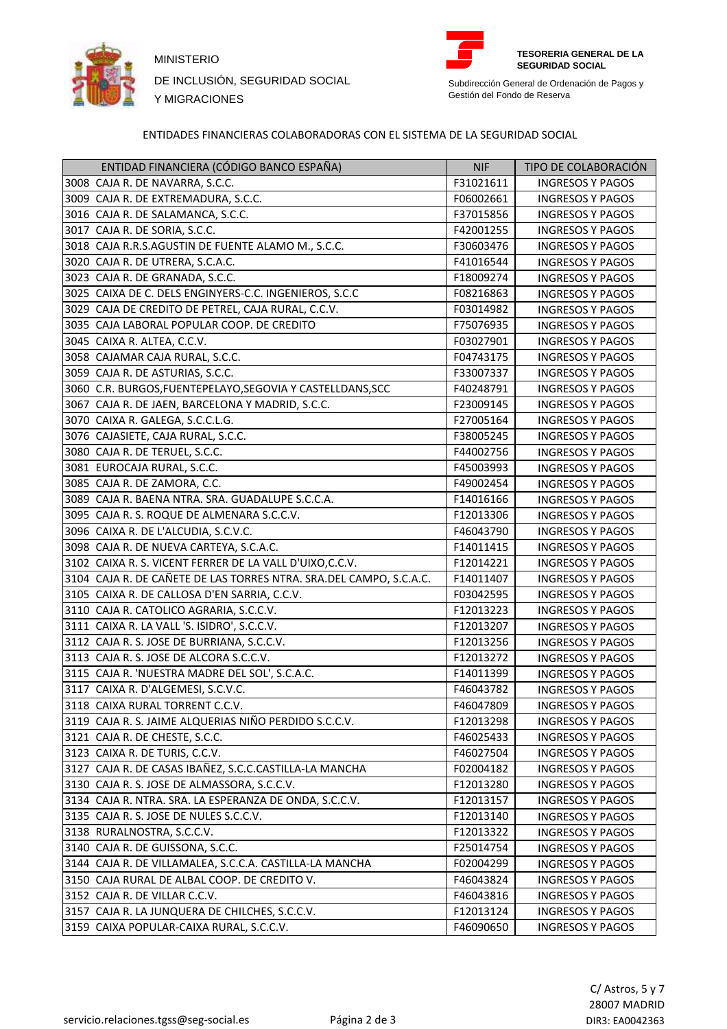

MINISTERIO **TESORERIA GENERAL DE LA**  DE INCLUSIÓN, SEGURIDAD SOCIAL Y MIGRACIONES



**SEGURIDAD SOCIAL**

Subdirección General de Ordenación de Pagos y Gestión del Fondo de Reserva

## ENTIDADES FINANCIERAS COLABORADORAS CON EL SISTEMA DE LA SEGURIDAD SOCIAL

| 3008 CAJA R. DE NAVARRA, S.C.C.<br>F31021611<br><b>INGRESOS Y PAGOS</b><br>3009 CAJA R. DE EXTREMADURA, S.C.C.<br>F06002661<br><b>INGRESOS Y PAGOS</b><br>3016 CAJA R. DE SALAMANCA, S.C.C.<br>F37015856<br><b>INGRESOS Y PAGOS</b><br>3017 CAJA R. DE SORIA, S.C.C.<br>F42001255<br><b>INGRESOS Y PAGOS</b><br>3018 CAJA R.R.S.AGUSTIN DE FUENTE ALAMO M., S.C.C.<br>F30603476<br><b>INGRESOS Y PAGOS</b><br>3020 CAJA R. DE UTRERA, S.C.A.C.<br>F41016544<br><b>INGRESOS Y PAGOS</b><br>3023 CAJA R. DE GRANADA, S.C.C.<br>F18009274<br><b>INGRESOS Y PAGOS</b><br>3025 CAIXA DE C. DELS ENGINYERS-C.C. INGENIEROS, S.C.C<br>F08216863<br><b>INGRESOS Y PAGOS</b><br>3029 CAJA DE CREDITO DE PETREL, CAJA RURAL, C.C.V.<br>F03014982<br><b>INGRESOS Y PAGOS</b><br>3035 CAJA LABORAL POPULAR COOP. DE CREDITO<br>F75076935<br><b>INGRESOS Y PAGOS</b><br>3045 CAIXA R. ALTEA, C.C.V.<br>F03027901<br><b>INGRESOS Y PAGOS</b><br>3058 CAJAMAR CAJA RURAL, S.C.C.<br>F04743175<br><b>INGRESOS Y PAGOS</b><br>3059 CAJA R. DE ASTURIAS, S.C.C.<br>F33007337<br><b>INGRESOS Y PAGOS</b><br>3060 C.R. BURGOS, FUENTEPELAYO, SEGOVIA Y CASTELLDANS, SCC<br>F40248791<br><b>INGRESOS Y PAGOS</b><br>3067 CAJA R. DE JAEN, BARCELONA Y MADRID, S.C.C.<br>F23009145<br><b>INGRESOS Y PAGOS</b><br>3070 CAIXA R. GALEGA, S.C.C.L.G.<br>F27005164<br><b>INGRESOS Y PAGOS</b><br>3076 CAJASIETE, CAJA RURAL, S.C.C.<br>F38005245<br><b>INGRESOS Y PAGOS</b><br>3080 CAJA R. DE TERUEL, S.C.C.<br>F44002756<br><b>INGRESOS Y PAGOS</b><br>3081 EUROCAJA RURAL, S.C.C.<br>F45003993<br><b>INGRESOS Y PAGOS</b><br>3085 CAJA R. DE ZAMORA, C.C.<br>F49002454<br><b>INGRESOS Y PAGOS</b><br>3089 CAJA R. BAENA NTRA. SRA. GUADALUPE S.C.C.A.<br>F14016166<br><b>INGRESOS Y PAGOS</b><br>3095 CAJA R. S. ROQUE DE ALMENARA S.C.C.V.<br>F12013306<br><b>INGRESOS Y PAGOS</b><br>3096 CAIXA R. DE L'ALCUDIA, S.C.V.C.<br>F46043790<br><b>INGRESOS Y PAGOS</b><br>3098 CAJA R. DE NUEVA CARTEYA, S.C.A.C.<br>F14011415<br><b>INGRESOS Y PAGOS</b><br>3102 CAIXA R. S. VICENT FERRER DE LA VALL D'UIXO, C.C.V.<br>F12014221<br><b>INGRESOS Y PAGOS</b><br>3104 CAJA R. DE CAÑETE DE LAS TORRES NTRA. SRA.DEL CAMPO, S.C.A.C.<br>F14011407<br><b>INGRESOS Y PAGOS</b><br>3105 CAIXA R. DE CALLOSA D'EN SARRIA, C.C.V.<br>F03042595<br><b>INGRESOS Y PAGOS</b><br>3110 CAJA R. CATOLICO AGRARIA, S.C.C.V.<br>F12013223<br><b>INGRESOS Y PAGOS</b><br>3111 CAIXA R. LA VALL 'S. ISIDRO', S.C.C.V.<br>F12013207<br><b>INGRESOS Y PAGOS</b><br>3112 CAJA R. S. JOSE DE BURRIANA, S.C.C.V.<br>F12013256<br><b>INGRESOS Y PAGOS</b><br>3113 CAJA R. S. JOSE DE ALCORA S.C.C.V.<br>F12013272<br><b>INGRESOS Y PAGOS</b><br>3115 CAJA R. 'NUESTRA MADRE DEL SOL', S.C.A.C.<br>F14011399<br><b>INGRESOS Y PAGOS</b><br>3117 CAIXA R. D'ALGEMESI, S.C.V.C.<br>F46043782<br><b>INGRESOS Y PAGOS</b><br>3118 CAIXA RURAL TORRENT C.C.V.<br>F46047809<br><b>INGRESOS Y PAGOS</b><br>3119 CAJA R. S. JAIME ALQUERIAS NIÑO PERDIDO S.C.C.V.<br>F12013298<br><b>INGRESOS Y PAGOS</b><br>3121 CAJA R. DE CHESTE, S.C.C.<br>F46025433<br><b>INGRESOS Y PAGOS</b><br>3123 CAIXA R. DE TURIS, C.C.V.<br>F46027504<br><b>INGRESOS Y PAGOS</b><br>3127 CAJA R. DE CASAS IBAÑEZ, S.C.C.CASTILLA-LA MANCHA<br>F02004182<br><b>INGRESOS Y PAGOS</b><br>3130 CAJA R. S. JOSE DE ALMASSORA, S.C.C.V.<br>F12013280<br><b>INGRESOS Y PAGOS</b><br>3134 CAJA R. NTRA. SRA. LA ESPERANZA DE ONDA, S.C.C.V.<br>F12013157<br><b>INGRESOS Y PAGOS</b><br>3135 CAJA R. S. JOSE DE NULES S.C.C.V.<br>F12013140<br><b>INGRESOS Y PAGOS</b><br>3138 RURALNOSTRA, S.C.C.V.<br>F12013322<br><b>INGRESOS Y PAGOS</b><br>3140 CAJA R. DE GUISSONA, S.C.C.<br>F25014754<br><b>INGRESOS Y PAGOS</b><br>3144 CAJA R. DE VILLAMALEA, S.C.C.A. CASTILLA-LA MANCHA<br>F02004299<br><b>INGRESOS Y PAGOS</b><br>3150 CAJA RURAL DE ALBAL COOP. DE CREDITO V.<br>F46043824<br><b>INGRESOS Y PAGOS</b><br>3152 CAJA R. DE VILLAR C.C.V.<br>F46043816<br><b>INGRESOS Y PAGOS</b><br>3157 CAJA R. LA JUNQUERA DE CHILCHES, S.C.C.V.<br>F12013124<br><b>INGRESOS Y PAGOS</b> | ENTIDAD FINANCIERA (CÓDIGO BANCO ESPAÑA) | <b>NIF</b> | TIPO DE COLABORACIÓN    |
|---------------------------------------------------------------------------------------------------------------------------------------------------------------------------------------------------------------------------------------------------------------------------------------------------------------------------------------------------------------------------------------------------------------------------------------------------------------------------------------------------------------------------------------------------------------------------------------------------------------------------------------------------------------------------------------------------------------------------------------------------------------------------------------------------------------------------------------------------------------------------------------------------------------------------------------------------------------------------------------------------------------------------------------------------------------------------------------------------------------------------------------------------------------------------------------------------------------------------------------------------------------------------------------------------------------------------------------------------------------------------------------------------------------------------------------------------------------------------------------------------------------------------------------------------------------------------------------------------------------------------------------------------------------------------------------------------------------------------------------------------------------------------------------------------------------------------------------------------------------------------------------------------------------------------------------------------------------------------------------------------------------------------------------------------------------------------------------------------------------------------------------------------------------------------------------------------------------------------------------------------------------------------------------------------------------------------------------------------------------------------------------------------------------------------------------------------------------------------------------------------------------------------------------------------------------------------------------------------------------------------------------------------------------------------------------------------------------------------------------------------------------------------------------------------------------------------------------------------------------------------------------------------------------------------------------------------------------------------------------------------------------------------------------------------------------------------------------------------------------------------------------------------------------------------------------------------------------------------------------------------------------------------------------------------------------------------------------------------------------------------------------------------------------------------------------------------------------------------------------------------------------------------------------------------------------------------------------------------------------------------------------------------------------------------------------------------------------------------------------------------------------------------------------------------------------------------------------------------------------------------------------------------------------------------------------------------------------------------------------------------------------------------------------------------------------------------------------------------|------------------------------------------|------------|-------------------------|
|                                                                                                                                                                                                                                                                                                                                                                                                                                                                                                                                                                                                                                                                                                                                                                                                                                                                                                                                                                                                                                                                                                                                                                                                                                                                                                                                                                                                                                                                                                                                                                                                                                                                                                                                                                                                                                                                                                                                                                                                                                                                                                                                                                                                                                                                                                                                                                                                                                                                                                                                                                                                                                                                                                                                                                                                                                                                                                                                                                                                                                                                                                                                                                                                                                                                                                                                                                                                                                                                                                                                                                                                                                                                                                                                                                                                                                                                                                                                                                                                                                                                                                   |                                          |            |                         |
|                                                                                                                                                                                                                                                                                                                                                                                                                                                                                                                                                                                                                                                                                                                                                                                                                                                                                                                                                                                                                                                                                                                                                                                                                                                                                                                                                                                                                                                                                                                                                                                                                                                                                                                                                                                                                                                                                                                                                                                                                                                                                                                                                                                                                                                                                                                                                                                                                                                                                                                                                                                                                                                                                                                                                                                                                                                                                                                                                                                                                                                                                                                                                                                                                                                                                                                                                                                                                                                                                                                                                                                                                                                                                                                                                                                                                                                                                                                                                                                                                                                                                                   |                                          |            |                         |
|                                                                                                                                                                                                                                                                                                                                                                                                                                                                                                                                                                                                                                                                                                                                                                                                                                                                                                                                                                                                                                                                                                                                                                                                                                                                                                                                                                                                                                                                                                                                                                                                                                                                                                                                                                                                                                                                                                                                                                                                                                                                                                                                                                                                                                                                                                                                                                                                                                                                                                                                                                                                                                                                                                                                                                                                                                                                                                                                                                                                                                                                                                                                                                                                                                                                                                                                                                                                                                                                                                                                                                                                                                                                                                                                                                                                                                                                                                                                                                                                                                                                                                   |                                          |            |                         |
|                                                                                                                                                                                                                                                                                                                                                                                                                                                                                                                                                                                                                                                                                                                                                                                                                                                                                                                                                                                                                                                                                                                                                                                                                                                                                                                                                                                                                                                                                                                                                                                                                                                                                                                                                                                                                                                                                                                                                                                                                                                                                                                                                                                                                                                                                                                                                                                                                                                                                                                                                                                                                                                                                                                                                                                                                                                                                                                                                                                                                                                                                                                                                                                                                                                                                                                                                                                                                                                                                                                                                                                                                                                                                                                                                                                                                                                                                                                                                                                                                                                                                                   |                                          |            |                         |
|                                                                                                                                                                                                                                                                                                                                                                                                                                                                                                                                                                                                                                                                                                                                                                                                                                                                                                                                                                                                                                                                                                                                                                                                                                                                                                                                                                                                                                                                                                                                                                                                                                                                                                                                                                                                                                                                                                                                                                                                                                                                                                                                                                                                                                                                                                                                                                                                                                                                                                                                                                                                                                                                                                                                                                                                                                                                                                                                                                                                                                                                                                                                                                                                                                                                                                                                                                                                                                                                                                                                                                                                                                                                                                                                                                                                                                                                                                                                                                                                                                                                                                   |                                          |            |                         |
|                                                                                                                                                                                                                                                                                                                                                                                                                                                                                                                                                                                                                                                                                                                                                                                                                                                                                                                                                                                                                                                                                                                                                                                                                                                                                                                                                                                                                                                                                                                                                                                                                                                                                                                                                                                                                                                                                                                                                                                                                                                                                                                                                                                                                                                                                                                                                                                                                                                                                                                                                                                                                                                                                                                                                                                                                                                                                                                                                                                                                                                                                                                                                                                                                                                                                                                                                                                                                                                                                                                                                                                                                                                                                                                                                                                                                                                                                                                                                                                                                                                                                                   |                                          |            |                         |
|                                                                                                                                                                                                                                                                                                                                                                                                                                                                                                                                                                                                                                                                                                                                                                                                                                                                                                                                                                                                                                                                                                                                                                                                                                                                                                                                                                                                                                                                                                                                                                                                                                                                                                                                                                                                                                                                                                                                                                                                                                                                                                                                                                                                                                                                                                                                                                                                                                                                                                                                                                                                                                                                                                                                                                                                                                                                                                                                                                                                                                                                                                                                                                                                                                                                                                                                                                                                                                                                                                                                                                                                                                                                                                                                                                                                                                                                                                                                                                                                                                                                                                   |                                          |            |                         |
|                                                                                                                                                                                                                                                                                                                                                                                                                                                                                                                                                                                                                                                                                                                                                                                                                                                                                                                                                                                                                                                                                                                                                                                                                                                                                                                                                                                                                                                                                                                                                                                                                                                                                                                                                                                                                                                                                                                                                                                                                                                                                                                                                                                                                                                                                                                                                                                                                                                                                                                                                                                                                                                                                                                                                                                                                                                                                                                                                                                                                                                                                                                                                                                                                                                                                                                                                                                                                                                                                                                                                                                                                                                                                                                                                                                                                                                                                                                                                                                                                                                                                                   |                                          |            |                         |
|                                                                                                                                                                                                                                                                                                                                                                                                                                                                                                                                                                                                                                                                                                                                                                                                                                                                                                                                                                                                                                                                                                                                                                                                                                                                                                                                                                                                                                                                                                                                                                                                                                                                                                                                                                                                                                                                                                                                                                                                                                                                                                                                                                                                                                                                                                                                                                                                                                                                                                                                                                                                                                                                                                                                                                                                                                                                                                                                                                                                                                                                                                                                                                                                                                                                                                                                                                                                                                                                                                                                                                                                                                                                                                                                                                                                                                                                                                                                                                                                                                                                                                   |                                          |            |                         |
|                                                                                                                                                                                                                                                                                                                                                                                                                                                                                                                                                                                                                                                                                                                                                                                                                                                                                                                                                                                                                                                                                                                                                                                                                                                                                                                                                                                                                                                                                                                                                                                                                                                                                                                                                                                                                                                                                                                                                                                                                                                                                                                                                                                                                                                                                                                                                                                                                                                                                                                                                                                                                                                                                                                                                                                                                                                                                                                                                                                                                                                                                                                                                                                                                                                                                                                                                                                                                                                                                                                                                                                                                                                                                                                                                                                                                                                                                                                                                                                                                                                                                                   |                                          |            |                         |
|                                                                                                                                                                                                                                                                                                                                                                                                                                                                                                                                                                                                                                                                                                                                                                                                                                                                                                                                                                                                                                                                                                                                                                                                                                                                                                                                                                                                                                                                                                                                                                                                                                                                                                                                                                                                                                                                                                                                                                                                                                                                                                                                                                                                                                                                                                                                                                                                                                                                                                                                                                                                                                                                                                                                                                                                                                                                                                                                                                                                                                                                                                                                                                                                                                                                                                                                                                                                                                                                                                                                                                                                                                                                                                                                                                                                                                                                                                                                                                                                                                                                                                   |                                          |            |                         |
|                                                                                                                                                                                                                                                                                                                                                                                                                                                                                                                                                                                                                                                                                                                                                                                                                                                                                                                                                                                                                                                                                                                                                                                                                                                                                                                                                                                                                                                                                                                                                                                                                                                                                                                                                                                                                                                                                                                                                                                                                                                                                                                                                                                                                                                                                                                                                                                                                                                                                                                                                                                                                                                                                                                                                                                                                                                                                                                                                                                                                                                                                                                                                                                                                                                                                                                                                                                                                                                                                                                                                                                                                                                                                                                                                                                                                                                                                                                                                                                                                                                                                                   |                                          |            |                         |
|                                                                                                                                                                                                                                                                                                                                                                                                                                                                                                                                                                                                                                                                                                                                                                                                                                                                                                                                                                                                                                                                                                                                                                                                                                                                                                                                                                                                                                                                                                                                                                                                                                                                                                                                                                                                                                                                                                                                                                                                                                                                                                                                                                                                                                                                                                                                                                                                                                                                                                                                                                                                                                                                                                                                                                                                                                                                                                                                                                                                                                                                                                                                                                                                                                                                                                                                                                                                                                                                                                                                                                                                                                                                                                                                                                                                                                                                                                                                                                                                                                                                                                   |                                          |            |                         |
|                                                                                                                                                                                                                                                                                                                                                                                                                                                                                                                                                                                                                                                                                                                                                                                                                                                                                                                                                                                                                                                                                                                                                                                                                                                                                                                                                                                                                                                                                                                                                                                                                                                                                                                                                                                                                                                                                                                                                                                                                                                                                                                                                                                                                                                                                                                                                                                                                                                                                                                                                                                                                                                                                                                                                                                                                                                                                                                                                                                                                                                                                                                                                                                                                                                                                                                                                                                                                                                                                                                                                                                                                                                                                                                                                                                                                                                                                                                                                                                                                                                                                                   |                                          |            |                         |
|                                                                                                                                                                                                                                                                                                                                                                                                                                                                                                                                                                                                                                                                                                                                                                                                                                                                                                                                                                                                                                                                                                                                                                                                                                                                                                                                                                                                                                                                                                                                                                                                                                                                                                                                                                                                                                                                                                                                                                                                                                                                                                                                                                                                                                                                                                                                                                                                                                                                                                                                                                                                                                                                                                                                                                                                                                                                                                                                                                                                                                                                                                                                                                                                                                                                                                                                                                                                                                                                                                                                                                                                                                                                                                                                                                                                                                                                                                                                                                                                                                                                                                   |                                          |            |                         |
|                                                                                                                                                                                                                                                                                                                                                                                                                                                                                                                                                                                                                                                                                                                                                                                                                                                                                                                                                                                                                                                                                                                                                                                                                                                                                                                                                                                                                                                                                                                                                                                                                                                                                                                                                                                                                                                                                                                                                                                                                                                                                                                                                                                                                                                                                                                                                                                                                                                                                                                                                                                                                                                                                                                                                                                                                                                                                                                                                                                                                                                                                                                                                                                                                                                                                                                                                                                                                                                                                                                                                                                                                                                                                                                                                                                                                                                                                                                                                                                                                                                                                                   |                                          |            |                         |
|                                                                                                                                                                                                                                                                                                                                                                                                                                                                                                                                                                                                                                                                                                                                                                                                                                                                                                                                                                                                                                                                                                                                                                                                                                                                                                                                                                                                                                                                                                                                                                                                                                                                                                                                                                                                                                                                                                                                                                                                                                                                                                                                                                                                                                                                                                                                                                                                                                                                                                                                                                                                                                                                                                                                                                                                                                                                                                                                                                                                                                                                                                                                                                                                                                                                                                                                                                                                                                                                                                                                                                                                                                                                                                                                                                                                                                                                                                                                                                                                                                                                                                   |                                          |            |                         |
|                                                                                                                                                                                                                                                                                                                                                                                                                                                                                                                                                                                                                                                                                                                                                                                                                                                                                                                                                                                                                                                                                                                                                                                                                                                                                                                                                                                                                                                                                                                                                                                                                                                                                                                                                                                                                                                                                                                                                                                                                                                                                                                                                                                                                                                                                                                                                                                                                                                                                                                                                                                                                                                                                                                                                                                                                                                                                                                                                                                                                                                                                                                                                                                                                                                                                                                                                                                                                                                                                                                                                                                                                                                                                                                                                                                                                                                                                                                                                                                                                                                                                                   |                                          |            |                         |
|                                                                                                                                                                                                                                                                                                                                                                                                                                                                                                                                                                                                                                                                                                                                                                                                                                                                                                                                                                                                                                                                                                                                                                                                                                                                                                                                                                                                                                                                                                                                                                                                                                                                                                                                                                                                                                                                                                                                                                                                                                                                                                                                                                                                                                                                                                                                                                                                                                                                                                                                                                                                                                                                                                                                                                                                                                                                                                                                                                                                                                                                                                                                                                                                                                                                                                                                                                                                                                                                                                                                                                                                                                                                                                                                                                                                                                                                                                                                                                                                                                                                                                   |                                          |            |                         |
|                                                                                                                                                                                                                                                                                                                                                                                                                                                                                                                                                                                                                                                                                                                                                                                                                                                                                                                                                                                                                                                                                                                                                                                                                                                                                                                                                                                                                                                                                                                                                                                                                                                                                                                                                                                                                                                                                                                                                                                                                                                                                                                                                                                                                                                                                                                                                                                                                                                                                                                                                                                                                                                                                                                                                                                                                                                                                                                                                                                                                                                                                                                                                                                                                                                                                                                                                                                                                                                                                                                                                                                                                                                                                                                                                                                                                                                                                                                                                                                                                                                                                                   |                                          |            |                         |
|                                                                                                                                                                                                                                                                                                                                                                                                                                                                                                                                                                                                                                                                                                                                                                                                                                                                                                                                                                                                                                                                                                                                                                                                                                                                                                                                                                                                                                                                                                                                                                                                                                                                                                                                                                                                                                                                                                                                                                                                                                                                                                                                                                                                                                                                                                                                                                                                                                                                                                                                                                                                                                                                                                                                                                                                                                                                                                                                                                                                                                                                                                                                                                                                                                                                                                                                                                                                                                                                                                                                                                                                                                                                                                                                                                                                                                                                                                                                                                                                                                                                                                   |                                          |            |                         |
|                                                                                                                                                                                                                                                                                                                                                                                                                                                                                                                                                                                                                                                                                                                                                                                                                                                                                                                                                                                                                                                                                                                                                                                                                                                                                                                                                                                                                                                                                                                                                                                                                                                                                                                                                                                                                                                                                                                                                                                                                                                                                                                                                                                                                                                                                                                                                                                                                                                                                                                                                                                                                                                                                                                                                                                                                                                                                                                                                                                                                                                                                                                                                                                                                                                                                                                                                                                                                                                                                                                                                                                                                                                                                                                                                                                                                                                                                                                                                                                                                                                                                                   |                                          |            |                         |
|                                                                                                                                                                                                                                                                                                                                                                                                                                                                                                                                                                                                                                                                                                                                                                                                                                                                                                                                                                                                                                                                                                                                                                                                                                                                                                                                                                                                                                                                                                                                                                                                                                                                                                                                                                                                                                                                                                                                                                                                                                                                                                                                                                                                                                                                                                                                                                                                                                                                                                                                                                                                                                                                                                                                                                                                                                                                                                                                                                                                                                                                                                                                                                                                                                                                                                                                                                                                                                                                                                                                                                                                                                                                                                                                                                                                                                                                                                                                                                                                                                                                                                   |                                          |            |                         |
|                                                                                                                                                                                                                                                                                                                                                                                                                                                                                                                                                                                                                                                                                                                                                                                                                                                                                                                                                                                                                                                                                                                                                                                                                                                                                                                                                                                                                                                                                                                                                                                                                                                                                                                                                                                                                                                                                                                                                                                                                                                                                                                                                                                                                                                                                                                                                                                                                                                                                                                                                                                                                                                                                                                                                                                                                                                                                                                                                                                                                                                                                                                                                                                                                                                                                                                                                                                                                                                                                                                                                                                                                                                                                                                                                                                                                                                                                                                                                                                                                                                                                                   |                                          |            |                         |
|                                                                                                                                                                                                                                                                                                                                                                                                                                                                                                                                                                                                                                                                                                                                                                                                                                                                                                                                                                                                                                                                                                                                                                                                                                                                                                                                                                                                                                                                                                                                                                                                                                                                                                                                                                                                                                                                                                                                                                                                                                                                                                                                                                                                                                                                                                                                                                                                                                                                                                                                                                                                                                                                                                                                                                                                                                                                                                                                                                                                                                                                                                                                                                                                                                                                                                                                                                                                                                                                                                                                                                                                                                                                                                                                                                                                                                                                                                                                                                                                                                                                                                   |                                          |            |                         |
|                                                                                                                                                                                                                                                                                                                                                                                                                                                                                                                                                                                                                                                                                                                                                                                                                                                                                                                                                                                                                                                                                                                                                                                                                                                                                                                                                                                                                                                                                                                                                                                                                                                                                                                                                                                                                                                                                                                                                                                                                                                                                                                                                                                                                                                                                                                                                                                                                                                                                                                                                                                                                                                                                                                                                                                                                                                                                                                                                                                                                                                                                                                                                                                                                                                                                                                                                                                                                                                                                                                                                                                                                                                                                                                                                                                                                                                                                                                                                                                                                                                                                                   |                                          |            |                         |
|                                                                                                                                                                                                                                                                                                                                                                                                                                                                                                                                                                                                                                                                                                                                                                                                                                                                                                                                                                                                                                                                                                                                                                                                                                                                                                                                                                                                                                                                                                                                                                                                                                                                                                                                                                                                                                                                                                                                                                                                                                                                                                                                                                                                                                                                                                                                                                                                                                                                                                                                                                                                                                                                                                                                                                                                                                                                                                                                                                                                                                                                                                                                                                                                                                                                                                                                                                                                                                                                                                                                                                                                                                                                                                                                                                                                                                                                                                                                                                                                                                                                                                   |                                          |            |                         |
|                                                                                                                                                                                                                                                                                                                                                                                                                                                                                                                                                                                                                                                                                                                                                                                                                                                                                                                                                                                                                                                                                                                                                                                                                                                                                                                                                                                                                                                                                                                                                                                                                                                                                                                                                                                                                                                                                                                                                                                                                                                                                                                                                                                                                                                                                                                                                                                                                                                                                                                                                                                                                                                                                                                                                                                                                                                                                                                                                                                                                                                                                                                                                                                                                                                                                                                                                                                                                                                                                                                                                                                                                                                                                                                                                                                                                                                                                                                                                                                                                                                                                                   |                                          |            |                         |
|                                                                                                                                                                                                                                                                                                                                                                                                                                                                                                                                                                                                                                                                                                                                                                                                                                                                                                                                                                                                                                                                                                                                                                                                                                                                                                                                                                                                                                                                                                                                                                                                                                                                                                                                                                                                                                                                                                                                                                                                                                                                                                                                                                                                                                                                                                                                                                                                                                                                                                                                                                                                                                                                                                                                                                                                                                                                                                                                                                                                                                                                                                                                                                                                                                                                                                                                                                                                                                                                                                                                                                                                                                                                                                                                                                                                                                                                                                                                                                                                                                                                                                   |                                          |            |                         |
|                                                                                                                                                                                                                                                                                                                                                                                                                                                                                                                                                                                                                                                                                                                                                                                                                                                                                                                                                                                                                                                                                                                                                                                                                                                                                                                                                                                                                                                                                                                                                                                                                                                                                                                                                                                                                                                                                                                                                                                                                                                                                                                                                                                                                                                                                                                                                                                                                                                                                                                                                                                                                                                                                                                                                                                                                                                                                                                                                                                                                                                                                                                                                                                                                                                                                                                                                                                                                                                                                                                                                                                                                                                                                                                                                                                                                                                                                                                                                                                                                                                                                                   |                                          |            |                         |
|                                                                                                                                                                                                                                                                                                                                                                                                                                                                                                                                                                                                                                                                                                                                                                                                                                                                                                                                                                                                                                                                                                                                                                                                                                                                                                                                                                                                                                                                                                                                                                                                                                                                                                                                                                                                                                                                                                                                                                                                                                                                                                                                                                                                                                                                                                                                                                                                                                                                                                                                                                                                                                                                                                                                                                                                                                                                                                                                                                                                                                                                                                                                                                                                                                                                                                                                                                                                                                                                                                                                                                                                                                                                                                                                                                                                                                                                                                                                                                                                                                                                                                   |                                          |            |                         |
|                                                                                                                                                                                                                                                                                                                                                                                                                                                                                                                                                                                                                                                                                                                                                                                                                                                                                                                                                                                                                                                                                                                                                                                                                                                                                                                                                                                                                                                                                                                                                                                                                                                                                                                                                                                                                                                                                                                                                                                                                                                                                                                                                                                                                                                                                                                                                                                                                                                                                                                                                                                                                                                                                                                                                                                                                                                                                                                                                                                                                                                                                                                                                                                                                                                                                                                                                                                                                                                                                                                                                                                                                                                                                                                                                                                                                                                                                                                                                                                                                                                                                                   |                                          |            |                         |
|                                                                                                                                                                                                                                                                                                                                                                                                                                                                                                                                                                                                                                                                                                                                                                                                                                                                                                                                                                                                                                                                                                                                                                                                                                                                                                                                                                                                                                                                                                                                                                                                                                                                                                                                                                                                                                                                                                                                                                                                                                                                                                                                                                                                                                                                                                                                                                                                                                                                                                                                                                                                                                                                                                                                                                                                                                                                                                                                                                                                                                                                                                                                                                                                                                                                                                                                                                                                                                                                                                                                                                                                                                                                                                                                                                                                                                                                                                                                                                                                                                                                                                   |                                          |            |                         |
|                                                                                                                                                                                                                                                                                                                                                                                                                                                                                                                                                                                                                                                                                                                                                                                                                                                                                                                                                                                                                                                                                                                                                                                                                                                                                                                                                                                                                                                                                                                                                                                                                                                                                                                                                                                                                                                                                                                                                                                                                                                                                                                                                                                                                                                                                                                                                                                                                                                                                                                                                                                                                                                                                                                                                                                                                                                                                                                                                                                                                                                                                                                                                                                                                                                                                                                                                                                                                                                                                                                                                                                                                                                                                                                                                                                                                                                                                                                                                                                                                                                                                                   |                                          |            |                         |
|                                                                                                                                                                                                                                                                                                                                                                                                                                                                                                                                                                                                                                                                                                                                                                                                                                                                                                                                                                                                                                                                                                                                                                                                                                                                                                                                                                                                                                                                                                                                                                                                                                                                                                                                                                                                                                                                                                                                                                                                                                                                                                                                                                                                                                                                                                                                                                                                                                                                                                                                                                                                                                                                                                                                                                                                                                                                                                                                                                                                                                                                                                                                                                                                                                                                                                                                                                                                                                                                                                                                                                                                                                                                                                                                                                                                                                                                                                                                                                                                                                                                                                   |                                          |            |                         |
|                                                                                                                                                                                                                                                                                                                                                                                                                                                                                                                                                                                                                                                                                                                                                                                                                                                                                                                                                                                                                                                                                                                                                                                                                                                                                                                                                                                                                                                                                                                                                                                                                                                                                                                                                                                                                                                                                                                                                                                                                                                                                                                                                                                                                                                                                                                                                                                                                                                                                                                                                                                                                                                                                                                                                                                                                                                                                                                                                                                                                                                                                                                                                                                                                                                                                                                                                                                                                                                                                                                                                                                                                                                                                                                                                                                                                                                                                                                                                                                                                                                                                                   |                                          |            |                         |
|                                                                                                                                                                                                                                                                                                                                                                                                                                                                                                                                                                                                                                                                                                                                                                                                                                                                                                                                                                                                                                                                                                                                                                                                                                                                                                                                                                                                                                                                                                                                                                                                                                                                                                                                                                                                                                                                                                                                                                                                                                                                                                                                                                                                                                                                                                                                                                                                                                                                                                                                                                                                                                                                                                                                                                                                                                                                                                                                                                                                                                                                                                                                                                                                                                                                                                                                                                                                                                                                                                                                                                                                                                                                                                                                                                                                                                                                                                                                                                                                                                                                                                   |                                          |            |                         |
|                                                                                                                                                                                                                                                                                                                                                                                                                                                                                                                                                                                                                                                                                                                                                                                                                                                                                                                                                                                                                                                                                                                                                                                                                                                                                                                                                                                                                                                                                                                                                                                                                                                                                                                                                                                                                                                                                                                                                                                                                                                                                                                                                                                                                                                                                                                                                                                                                                                                                                                                                                                                                                                                                                                                                                                                                                                                                                                                                                                                                                                                                                                                                                                                                                                                                                                                                                                                                                                                                                                                                                                                                                                                                                                                                                                                                                                                                                                                                                                                                                                                                                   |                                          |            |                         |
|                                                                                                                                                                                                                                                                                                                                                                                                                                                                                                                                                                                                                                                                                                                                                                                                                                                                                                                                                                                                                                                                                                                                                                                                                                                                                                                                                                                                                                                                                                                                                                                                                                                                                                                                                                                                                                                                                                                                                                                                                                                                                                                                                                                                                                                                                                                                                                                                                                                                                                                                                                                                                                                                                                                                                                                                                                                                                                                                                                                                                                                                                                                                                                                                                                                                                                                                                                                                                                                                                                                                                                                                                                                                                                                                                                                                                                                                                                                                                                                                                                                                                                   |                                          |            |                         |
|                                                                                                                                                                                                                                                                                                                                                                                                                                                                                                                                                                                                                                                                                                                                                                                                                                                                                                                                                                                                                                                                                                                                                                                                                                                                                                                                                                                                                                                                                                                                                                                                                                                                                                                                                                                                                                                                                                                                                                                                                                                                                                                                                                                                                                                                                                                                                                                                                                                                                                                                                                                                                                                                                                                                                                                                                                                                                                                                                                                                                                                                                                                                                                                                                                                                                                                                                                                                                                                                                                                                                                                                                                                                                                                                                                                                                                                                                                                                                                                                                                                                                                   |                                          |            |                         |
|                                                                                                                                                                                                                                                                                                                                                                                                                                                                                                                                                                                                                                                                                                                                                                                                                                                                                                                                                                                                                                                                                                                                                                                                                                                                                                                                                                                                                                                                                                                                                                                                                                                                                                                                                                                                                                                                                                                                                                                                                                                                                                                                                                                                                                                                                                                                                                                                                                                                                                                                                                                                                                                                                                                                                                                                                                                                                                                                                                                                                                                                                                                                                                                                                                                                                                                                                                                                                                                                                                                                                                                                                                                                                                                                                                                                                                                                                                                                                                                                                                                                                                   |                                          |            |                         |
|                                                                                                                                                                                                                                                                                                                                                                                                                                                                                                                                                                                                                                                                                                                                                                                                                                                                                                                                                                                                                                                                                                                                                                                                                                                                                                                                                                                                                                                                                                                                                                                                                                                                                                                                                                                                                                                                                                                                                                                                                                                                                                                                                                                                                                                                                                                                                                                                                                                                                                                                                                                                                                                                                                                                                                                                                                                                                                                                                                                                                                                                                                                                                                                                                                                                                                                                                                                                                                                                                                                                                                                                                                                                                                                                                                                                                                                                                                                                                                                                                                                                                                   |                                          |            |                         |
|                                                                                                                                                                                                                                                                                                                                                                                                                                                                                                                                                                                                                                                                                                                                                                                                                                                                                                                                                                                                                                                                                                                                                                                                                                                                                                                                                                                                                                                                                                                                                                                                                                                                                                                                                                                                                                                                                                                                                                                                                                                                                                                                                                                                                                                                                                                                                                                                                                                                                                                                                                                                                                                                                                                                                                                                                                                                                                                                                                                                                                                                                                                                                                                                                                                                                                                                                                                                                                                                                                                                                                                                                                                                                                                                                                                                                                                                                                                                                                                                                                                                                                   |                                          |            |                         |
|                                                                                                                                                                                                                                                                                                                                                                                                                                                                                                                                                                                                                                                                                                                                                                                                                                                                                                                                                                                                                                                                                                                                                                                                                                                                                                                                                                                                                                                                                                                                                                                                                                                                                                                                                                                                                                                                                                                                                                                                                                                                                                                                                                                                                                                                                                                                                                                                                                                                                                                                                                                                                                                                                                                                                                                                                                                                                                                                                                                                                                                                                                                                                                                                                                                                                                                                                                                                                                                                                                                                                                                                                                                                                                                                                                                                                                                                                                                                                                                                                                                                                                   |                                          |            |                         |
|                                                                                                                                                                                                                                                                                                                                                                                                                                                                                                                                                                                                                                                                                                                                                                                                                                                                                                                                                                                                                                                                                                                                                                                                                                                                                                                                                                                                                                                                                                                                                                                                                                                                                                                                                                                                                                                                                                                                                                                                                                                                                                                                                                                                                                                                                                                                                                                                                                                                                                                                                                                                                                                                                                                                                                                                                                                                                                                                                                                                                                                                                                                                                                                                                                                                                                                                                                                                                                                                                                                                                                                                                                                                                                                                                                                                                                                                                                                                                                                                                                                                                                   |                                          |            |                         |
|                                                                                                                                                                                                                                                                                                                                                                                                                                                                                                                                                                                                                                                                                                                                                                                                                                                                                                                                                                                                                                                                                                                                                                                                                                                                                                                                                                                                                                                                                                                                                                                                                                                                                                                                                                                                                                                                                                                                                                                                                                                                                                                                                                                                                                                                                                                                                                                                                                                                                                                                                                                                                                                                                                                                                                                                                                                                                                                                                                                                                                                                                                                                                                                                                                                                                                                                                                                                                                                                                                                                                                                                                                                                                                                                                                                                                                                                                                                                                                                                                                                                                                   |                                          |            |                         |
|                                                                                                                                                                                                                                                                                                                                                                                                                                                                                                                                                                                                                                                                                                                                                                                                                                                                                                                                                                                                                                                                                                                                                                                                                                                                                                                                                                                                                                                                                                                                                                                                                                                                                                                                                                                                                                                                                                                                                                                                                                                                                                                                                                                                                                                                                                                                                                                                                                                                                                                                                                                                                                                                                                                                                                                                                                                                                                                                                                                                                                                                                                                                                                                                                                                                                                                                                                                                                                                                                                                                                                                                                                                                                                                                                                                                                                                                                                                                                                                                                                                                                                   |                                          |            |                         |
|                                                                                                                                                                                                                                                                                                                                                                                                                                                                                                                                                                                                                                                                                                                                                                                                                                                                                                                                                                                                                                                                                                                                                                                                                                                                                                                                                                                                                                                                                                                                                                                                                                                                                                                                                                                                                                                                                                                                                                                                                                                                                                                                                                                                                                                                                                                                                                                                                                                                                                                                                                                                                                                                                                                                                                                                                                                                                                                                                                                                                                                                                                                                                                                                                                                                                                                                                                                                                                                                                                                                                                                                                                                                                                                                                                                                                                                                                                                                                                                                                                                                                                   | 3159 CAIXA POPULAR-CAIXA RURAL, S.C.C.V. | F46090650  | <b>INGRESOS Y PAGOS</b> |